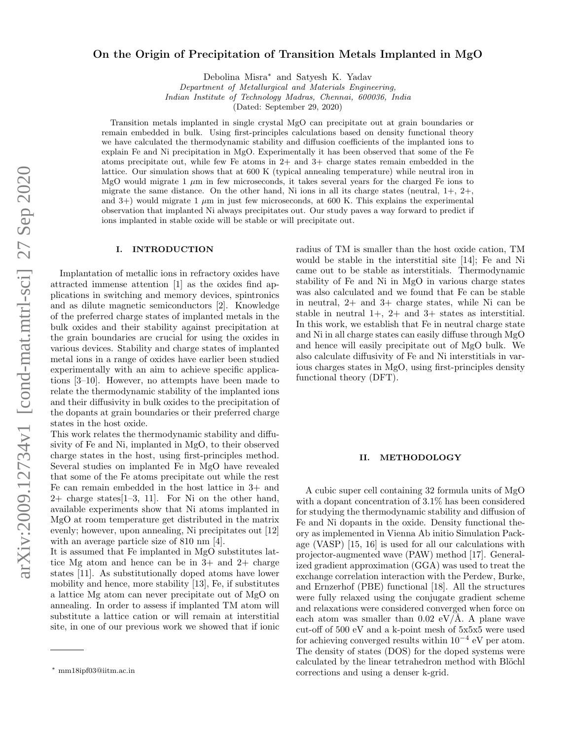# arXiv:2009.12734v1 [cond-mat.mtrl-sci] 27 Sep 2020 arXiv:2009.12734v1 [cond-mat.mtrl-sci] 27 Sep 2020

# On the Origin of Precipitation of Transition Metals Implanted in MgO

Debolina Misra<sup>∗</sup> and Satyesh K. Yadav

*Department of Metallurgical and Materials Engineering,*

*Indian Institute of Technology Madras, Chennai, 600036, India*

(Dated: September 29, 2020)

Transition metals implanted in single crystal MgO can precipitate out at grain boundaries or remain embedded in bulk. Using first-principles calculations based on density functional theory we have calculated the thermodynamic stability and diffusion coefficients of the implanted ions to explain Fe and Ni precipitation in MgO. Experimentally it has been observed that some of the Fe atoms precipitate out, while few Fe atoms in 2+ and 3+ charge states remain embedded in the lattice. Our simulation shows that at 600 K (typical annealing temperature) while neutral iron in MgO would migrate 1  $\mu$ m in few microseconds, it takes several years for the charged Fe ions to migrate the same distance. On the other hand, Ni ions in all its charge states (neutral,  $1+$ ,  $2+$ , and 3+) would migrate 1  $\mu$ m in just few microseconds, at 600 K. This explains the experimental observation that implanted Ni always precipitates out. Our study paves a way forward to predict if ions implanted in stable oxide will be stable or will precipitate out.

# I. INTRODUCTION

Implantation of metallic ions in refractory oxides have attracted immense attention [1] as the oxides find applications in switching and memory devices, spintronics and as dilute magnetic semiconductors [2]. Knowledge of the preferred charge states of implanted metals in the bulk oxides and their stability against precipitation at the grain boundaries are crucial for using the oxides in various devices. Stability and charge states of implanted metal ions in a range of oxides have earlier been studied experimentally with an aim to achieve specific applications [3–10]. However, no attempts have been made to relate the thermodynamic stability of the implanted ions and their diffusivity in bulk oxides to the precipitation of the dopants at grain boundaries or their preferred charge states in the host oxide.

This work relates the thermodynamic stability and diffusivity of Fe and Ni, implanted in MgO, to their observed charge states in the host, using first-principles method. Several studies on implanted Fe in MgO have revealed that some of the Fe atoms precipitate out while the rest Fe can remain embedded in the host lattice in 3+ and 2+ charge states[1–3, 11]. For Ni on the other hand, available experiments show that Ni atoms implanted in MgO at room temperature get distributed in the matrix evenly; however, upon annealing, Ni precipitates out [12] with an average particle size of 810 nm [4].

It is assumed that Fe implanted in MgO substitutes lattice Mg atom and hence can be in 3+ and 2+ charge states [11]. As substitutionally doped atoms have lower mobility and hence, more stability [13], Fe, if substitutes a lattice Mg atom can never precipitate out of MgO on annealing. In order to assess if implanted TM atom will substitute a lattice cation or will remain at interstitial site, in one of our previous work we showed that if ionic

radius of TM is smaller than the host oxide cation, TM would be stable in the interstitial site [14]; Fe and Ni came out to be stable as interstitials. Thermodynamic stability of Fe and Ni in MgO in various charge states was also calculated and we found that Fe can be stable in neutral, 2+ and 3+ charge states, while Ni can be stable in neutral  $1+$ ,  $2+$  and  $3+$  states as interstitial. In this work, we establish that Fe in neutral charge state and Ni in all charge states can easily diffuse through MgO and hence will easily precipitate out of MgO bulk. We also calculate diffusivity of Fe and Ni interstitials in various charges states in MgO, using first-principles density functional theory (DFT).

## II. METHODOLOGY

A cubic super cell containing 32 formula units of MgO with a dopant concentration of 3.1% has been considered for studying the thermodynamic stability and diffusion of Fe and Ni dopants in the oxide. Density functional theory as implemented in Vienna Ab initio Simulation Package (VASP) [15, 16] is used for all our calculations with projector-augmented wave (PAW) method [17]. Generalized gradient approximation (GGA) was used to treat the exchange correlation interaction with the Perdew, Burke, and Ernzerhof (PBE) functional [18]. All the structures were fully relaxed using the conjugate gradient scheme and relaxations were considered converged when force on each atom was smaller than  $0.02 \text{ eV/A}$ . A plane wave cut-off of 500 eV and a k-point mesh of 5x5x5 were used for achieving converged results within  $10^{-4}$  eV per atom. The density of states (DOS) for the doped systems were calculated by the linear tetrahedron method with Blöchl corrections and using a denser k-grid.

<sup>∗</sup> mm18ipf03@iitm.ac.in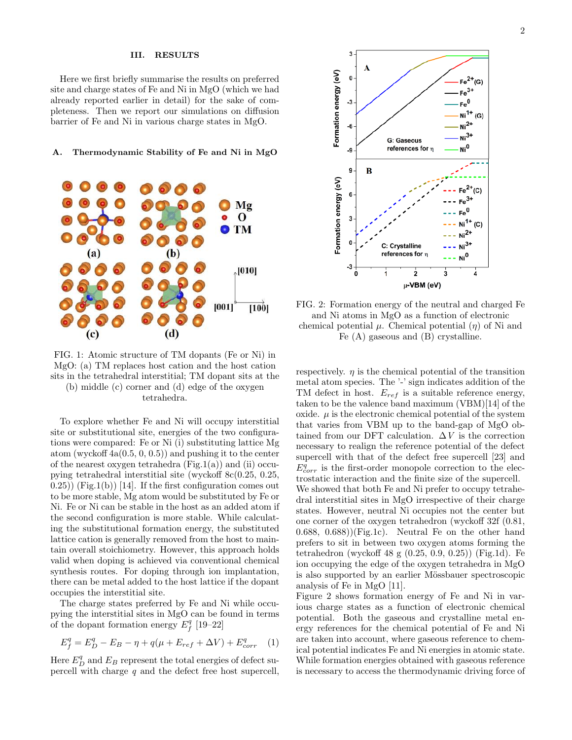### III. RESULTS

Here we first briefly summarise the results on preferred site and charge states of Fe and Ni in MgO (which we had already reported earlier in detail) for the sake of completeness. Then we report our simulations on diffusion barrier of Fe and Ni in various charge states in MgO.

### A. Thermodynamic Stability of Fe and Ni in MgO



FIG. 1: Atomic structure of TM dopants (Fe or Ni) in MgO: (a) TM replaces host cation and the host cation sits in the tetrahedral interstitial; TM dopant sits at the (b) middle (c) corner and (d) edge of the oxygen

tetrahedra.

To explore whether Fe and Ni will occupy interstitial site or substitutional site, energies of the two configurations were compared: Fe or Ni (i) substituting lattice Mg atom (wyckoff  $4a(0.5, 0, 0.5)$ ) and pushing it to the center of the nearest oxygen tetrahedra  $(Fig.1(a))$  and  $(ii)$  occupying tetrahedral interstitial site (wyckoff 8c(0.25, 0.25,  $(0.25)$ ) (Fig.1(b)) [14]. If the first configuration comes out to be more stable, Mg atom would be substituted by Fe or Ni. Fe or Ni can be stable in the host as an added atom if the second configuration is more stable. While calculating the substitutional formation energy, the substituted lattice cation is generally removed from the host to maintain overall stoichiometry. However, this approach holds valid when doping is achieved via conventional chemical synthesis routes. For doping through ion implantation, there can be metal added to the host lattice if the dopant occupies the interstitial site.

The charge states preferred by Fe and Ni while occupying the interstitial sites in MgO can be found in terms of the dopant formation energy  $E_f^q$  [19–22]

$$
E_f^q = E_D^q - E_B - \eta + q(\mu + E_{ref} + \Delta V) + E_{corr}^q \quad (1)
$$

Here  $E_D^q$  and  $E_B$  represent the total energies of defect supercell with charge  $q$  and the defect free host supercell,



FIG. 2: Formation energy of the neutral and charged Fe and Ni atoms in MgO as a function of electronic chemical potential  $\mu$ . Chemical potential  $(\eta)$  of Ni and Fe (A) gaseous and (B) crystalline.

respectively.  $\eta$  is the chemical potential of the transition metal atom species. The '-' sign indicates addition of the TM defect in host.  $E_{ref}$  is a suitable reference energy, taken to be the valence band maximum (VBM)[14] of the oxide.  $\mu$  is the electronic chemical potential of the system that varies from VBM up to the band-gap of MgO obtained from our DFT calculation.  $\Delta V$  is the correction necessary to realign the reference potential of the defect supercell with that of the defect free supercell [23] and  $E_{corr}^q$  is the first-order monopole correction to the electrostatic interaction and the finite size of the supercell. We showed that both Fe and Ni prefer to occupy tetrahedral interstitial sites in MgO irrespective of their charge states. However, neutral Ni occupies not the center but one corner of the oxygen tetrahedron (wyckoff 32f (0.81,  $(0.688, 0.688)$ )(Fig.1c). Neutral Fe on the other hand prefers to sit in between two oxygen atoms forming the tetrahedron (wyckoff 48 g (0.25, 0.9, 0.25)) (Fig.1d). Fe ion occupying the edge of the oxygen tetrahedra in MgO is also supported by an earlier Mössbauer spectroscopic analysis of Fe in MgO [11].

Figure 2 shows formation energy of Fe and Ni in various charge states as a function of electronic chemical potential. Both the gaseous and crystalline metal energy references for the chemical potential of Fe and Ni are taken into account, where gaseous reference to chemical potential indicates Fe and Ni energies in atomic state. While formation energies obtained with gaseous reference is necessary to access the thermodynamic driving force of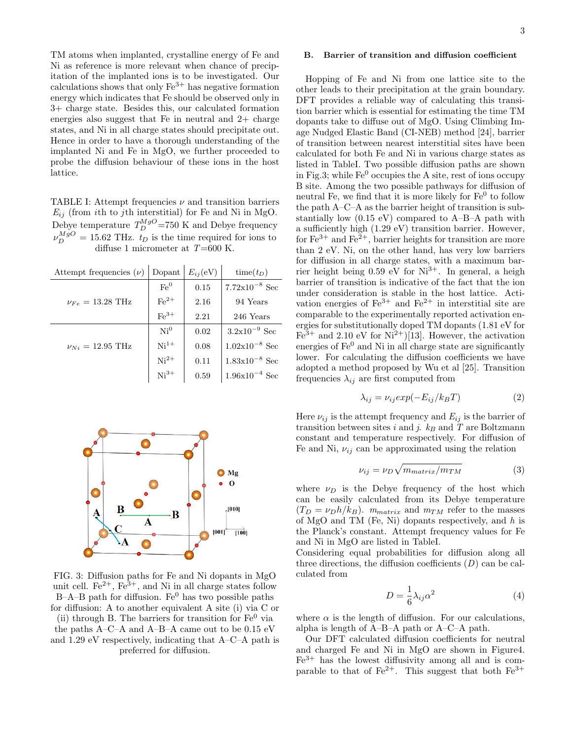TM atoms when implanted, crystalline energy of Fe and Ni as reference is more relevant when chance of precipitation of the implanted ions is to be investigated. Our calculations shows that only  $\text{Fe}^{3+}$  has negative formation energy which indicates that Fe should be observed only in 3+ charge state. Besides this, our calculated formation energies also suggest that Fe in neutral and 2+ charge states, and Ni in all charge states should precipitate out. Hence in order to have a thorough understanding of the implanted Ni and Fe in MgO, we further proceeded to probe the diffusion behaviour of these ions in the host lattice.

TABLE I: Attempt frequencies  $\nu$  and transition barriers  $E_{ij}$  (from *i*th to *j*th interstitial) for Fe and Ni in MgO. Debye temperature  $T_D^{MgO}$ =750 K and Debye frequency  $\nu_D^{MgO} = 15.62 \text{ THz}$ .  $t_D$  is the time required for ions to diffuse 1 micrometer at  $T=600$  K.

| Attempt frequencies $(\nu)$    | Dopant             | $E_{ij}(eV)$ | $time(t_D)$               |
|--------------------------------|--------------------|--------------|---------------------------|
| $\nu_{Fe} = 13.28$ THz         | Fe <sup>0</sup>    | 0.15         | $7.72 \times 10^{-8}$ Sec |
|                                | $\mathrm{Fe}^{2+}$ | 2.16         | 94 Years                  |
|                                | $Fe3+$             | 2.21         | 246 Years                 |
| $\nu_{Ni} = 12.95 \text{ THz}$ | Ni <sup>0</sup>    | 0.02         | $3.2 \times 10^{-9}$ Sec  |
|                                | $Ni1+$             | 0.08         | $1.02x10^{-8}$ Sec        |
|                                | $Ni2+$             | 0.11         | $1.83 \times 10^{-8}$ Sec |
|                                | $Ni3+$             | 0.59         | $1.96x10^{-4}$ Sec        |



FIG. 3: Diffusion paths for Fe and Ni dopants in MgO unit cell.  $\text{Fe}^{2+}$ ,  $\text{Fe}^{3+}$ , and Ni in all charge states follow B–A–B path for diffusion.  $Fe<sup>0</sup>$  has two possible paths for diffusion: A to another equivalent A site (i) via C or (ii) through B. The barriers for transition for  $Fe<sup>0</sup>$  via the paths A–C–A and A–B–A came out to be 0.15 eV and 1.29 eV respectively, indicating that A–C–A path is

preferred for diffusion.

# B. Barrier of transition and diffusion coefficient

Hopping of Fe and Ni from one lattice site to the other leads to their precipitation at the grain boundary. DFT provides a reliable way of calculating this transition barrier which is essential for estimating the time TM dopants take to diffuse out of MgO. Using Climbing Image Nudged Elastic Band (CI-NEB) method [24], barrier of transition between nearest interstitial sites have been calculated for both Fe and Ni in various charge states as listed in TableI. Two possible diffusion paths are shown in Fig.3; while  $Fe<sup>0</sup>$  occupies the A site, rest of ions occupy B site. Among the two possible pathways for diffusion of neutral Fe, we find that it is more likely for  $Fe<sup>0</sup>$  to follow the path A–C–A as the barrier height of transition is substantially low (0.15 eV) compared to A–B–A path with a sufficiently high (1.29 eV) transition barrier. However, for  $Fe^{3+}$  and  $Fe^{2+}$ , barrier heights for transition are more than 2 eV. Ni, on the other hand, has very low barriers for diffusion in all charge states, with a maximum barrier height being  $0.59$  eV for  $Ni^{3+}$ . In general, a heigh barrier of transition is indicative of the fact that the ion under consideration is stable in the host lattice. Activation energies of  $\text{Fe}^{3+}$  and  $\text{Fe}^{2+}$  in interstitial site are comparable to the experimentally reported activation energies for substitutionally doped TM dopants (1.81 eV for  $Fe<sup>3+</sup>$  and 2.10 eV for Ni<sup>2+</sup>)[13]. However, the activation energies of  $\mathrm{Fe}^{0}$  and Ni in all charge state are significantly lower. For calculating the diffusion coefficients we have adopted a method proposed by Wu et al [25]. Transition frequencies  $\lambda_{ij}$  are first computed from

$$
\lambda_{ij} = \nu_{ij} exp(-E_{ij}/k_B T) \tag{2}
$$

Here  $\nu_{ij}$  is the attempt frequency and  $E_{ij}$  is the barrier of transition between sites i and j.  $k_B$  and T are Boltzmann constant and temperature respectively. For diffusion of Fe and Ni,  $\nu_{ij}$  can be approximated using the relation

$$
\nu_{ij} = \nu_D \sqrt{m_{matrix}/m_{TM}} \tag{3}
$$

where  $\nu_D$  is the Debye frequency of the host which can be easily calculated from its Debye temperature  $(T_D = \nu_D h/k_B)$ .  $m_{matrix}$  and  $m_{TM}$  refer to the masses of MgO and TM (Fe, Ni) dopants respectively, and  $h$  is the Planck's constant. Attempt frequency values for Fe and Ni in MgO are listed in TableI.

Considering equal probabilities for diffusion along all three directions, the diffusion coefficients  $(D)$  can be calculated from

$$
D = \frac{1}{6}\lambda_{ij}\alpha^2\tag{4}
$$

where  $\alpha$  is the length of diffusion. For our calculations, alpha is length of A–B–A path or A–C–A path.

Our DFT calculated diffusion coefficients for neutral and charged Fe and Ni in MgO are shown in Figure4.  $Fe<sup>3+</sup>$  has the lowest diffusivity among all and is comparable to that of Fe<sup>2+</sup>. This suggest that both  $Fe^{3+}$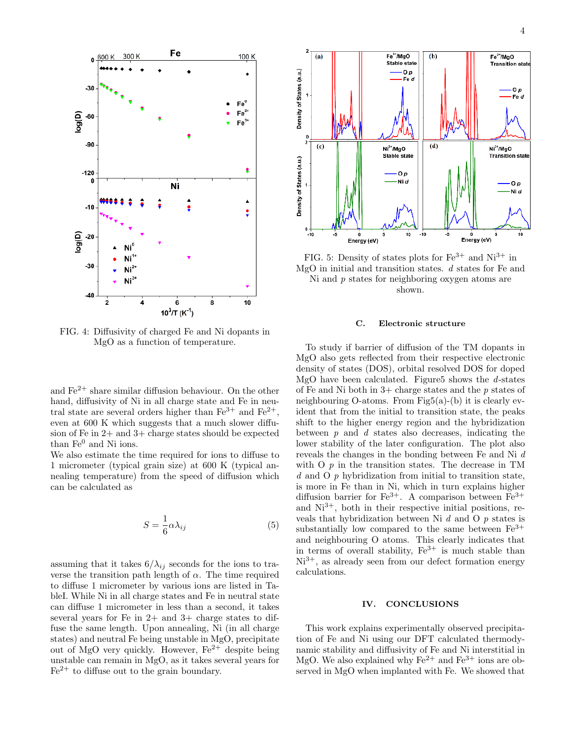

FIG. 4: Diffusivity of charged Fe and Ni dopants in MgO as a function of temperature.

and  $\mathrm{Fe}^{2+}$  share similar diffusion behaviour. On the other hand, diffusivity of Ni in all charge state and Fe in neutral state are several orders higher than  $Fe^{3+}$  and  $Fe^{2+}$ , even at 600 K which suggests that a much slower diffusion of Fe in 2+ and 3+ charge states should be expected than  $Fe<sup>0</sup>$  and Ni ions.

We also estimate the time required for ions to diffuse to 1 micrometer (typical grain size) at 600 K (typical annealing temperature) from the speed of diffusion which can be calculated as

$$
S = \frac{1}{6}\alpha\lambda_{ij} \tag{5}
$$

assuming that it takes  $6/\lambda_{ij}$  seconds for the ions to traverse the transition path length of  $\alpha$ . The time required to diffuse 1 micrometer by various ions are listed in TableI. While Ni in all charge states and Fe in neutral state can diffuse 1 micrometer in less than a second, it takes several years for Fe in  $2+$  and  $3+$  charge states to diffuse the same length. Upon annealing, Ni (in all charge states) and neutral Fe being unstable in MgO, precipitate out of MgO very quickly. However,  $Fe^{2+}$  despite being unstable can remain in MgO, as it takes several years for  $Fe<sup>2+</sup>$  to diffuse out to the grain boundary.



FIG. 5: Density of states plots for  $\text{Fe}^{3+}$  and  $\text{Ni}^{3+}$  in MgO in initial and transition states. d states for Fe and Ni and  $p$  states for neighboring oxygen atoms are shown.

### C. Electronic structure

To study if barrier of diffusion of the TM dopants in MgO also gets reflected from their respective electronic density of states (DOS), orbital resolved DOS for doped MgO have been calculated. Figure 5 shows the  $d$ -states of Fe and Ni both in  $3+$  charge states and the p states of neighbouring O-atoms. From Fig5(a)-(b) it is clearly evident that from the initial to transition state, the peaks shift to the higher energy region and the hybridization between  $p$  and  $d$  states also decreases, indicating the lower stability of the later configuration. The plot also reveals the changes in the bonding between Fe and Ni d with O  $p$  in the transition states. The decrease in TM d and O p hybridization from initial to transition state, is more in Fe than in Ni, which in turn explains higher diffusion barrier for  $Fe^{3+}$ . A comparison between  $Fe^{3+}$ and  $Ni<sup>3+</sup>$ , both in their respective initial positions, reveals that hybridization between Ni  $d$  and O  $p$  states is substantially low compared to the same between  $Fe<sup>3+</sup>$ and neighbouring O atoms. This clearly indicates that in terms of overall stability,  $Fe^{3+}$  is much stable than  $Ni<sup>3+</sup>$ , as already seen from our defect formation energy calculations.

# IV. CONCLUSIONS

This work explains experimentally observed precipitation of Fe and Ni using our DFT calculated thermodynamic stability and diffusivity of Fe and Ni interstitial in MgO. We also explained why  $Fe^{2+}$  and  $Fe^{3+}$  ions are observed in MgO when implanted with Fe. We showed that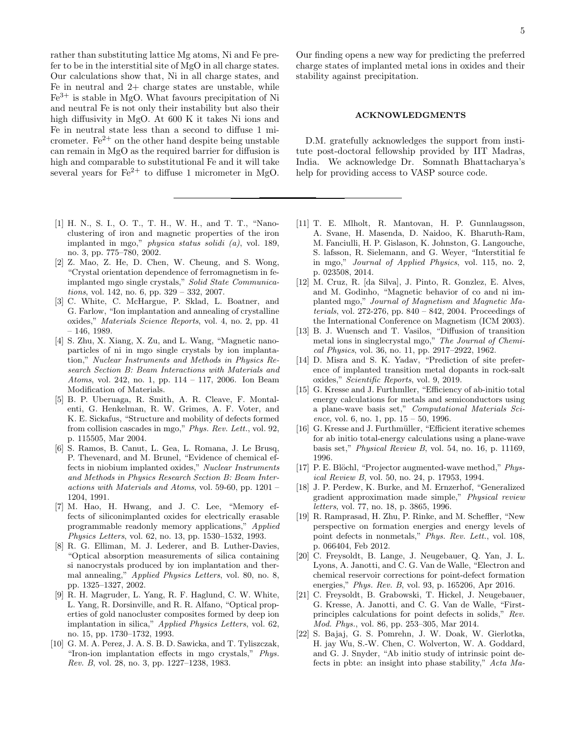rather than substituting lattice Mg atoms, Ni and Fe prefer to be in the interstitial site of MgO in all charge states. Our calculations show that, Ni in all charge states, and Fe in neutral and 2+ charge states are unstable, while  $Fe<sup>3+</sup>$  is stable in MgO. What favours precipitation of Ni and neutral Fe is not only their instability but also their high diffusivity in MgO. At 600 K it takes Ni ions and Fe in neutral state less than a second to diffuse 1 micrometer.  $Fe^{2+}$  on the other hand despite being unstable can remain in MgO as the required barrier for diffusion is high and comparable to substitutional Fe and it will take several years for  $\text{Fe}^{2+}$  to diffuse 1 micrometer in MgO.

- [1] H. N., S. I., O. T., T. H., W. H., and T. T., "Nanoclustering of iron and magnetic properties of the iron implanted in mgo," *physica status solidi (a)*, vol. 189, no. 3, pp. 775–780, 2002.
- [2] Z. Mao, Z. He, D. Chen, W. Cheung, and S. Wong, "Crystal orientation dependence of ferromagnetism in feimplanted mgo single crystals," *Solid State Communications*, vol. 142, no. 6, pp. 329 – 332, 2007.
- [3] C. White, C. McHargue, P. Sklad, L. Boatner, and G. Farlow, "Ion implantation and annealing of crystalline oxides," *Materials Science Reports*, vol. 4, no. 2, pp. 41 – 146, 1989.
- [4] S. Zhu, X. Xiang, X. Zu, and L. Wang, "Magnetic nanoparticles of ni in mgo single crystals by ion implantation," *Nuclear Instruments and Methods in Physics Research Section B: Beam Interactions with Materials and Atoms*, vol. 242, no. 1, pp. 114 – 117, 2006. Ion Beam Modification of Materials.
- [5] B. P. Uberuaga, R. Smith, A. R. Cleave, F. Montalenti, G. Henkelman, R. W. Grimes, A. F. Voter, and K. E. Sickafus, "Structure and mobility of defects formed from collision cascades in mgo," *Phys. Rev. Lett.*, vol. 92, p. 115505, Mar 2004.
- [6] S. Ramos, B. Canut, L. Gea, L. Romana, J. Le Brusq, P. Thevenard, and M. Brunel, "Evidence of chemical effects in niobium implanted oxides," *Nuclear Instruments and Methods in Physics Research Section B: Beam Interactions with Materials and Atoms*, vol. 59-60, pp. 1201 – 1204, 1991.
- [7] M. Hao, H. Hwang, and J. C. Lee, "Memory effects of siliconimplanted oxides for electrically erasable programmable readonly memory applications," *Applied Physics Letters*, vol. 62, no. 13, pp. 1530–1532, 1993.
- [8] R. G. Elliman, M. J. Lederer, and B. Luther-Davies, "Optical absorption measurements of silica containing si nanocrystals produced by ion implantation and thermal annealing," *Applied Physics Letters*, vol. 80, no. 8, pp. 1325–1327, 2002.
- [9] R. H. Magruder, L. Yang, R. F. Haglund, C. W. White, L. Yang, R. Dorsinville, and R. R. Alfano, "Optical properties of gold nanocluster composites formed by deep ion implantation in silica," *Applied Physics Letters*, vol. 62, no. 15, pp. 1730–1732, 1993.
- [10] G. M. A. Perez, J. A. S. B. D. Sawicka, and T. Tyliszczak, "Iron-ion implantation effects in mgo crystals," *Phys. Rev. B*, vol. 28, no. 3, pp. 1227–1238, 1983.

Our finding opens a new way for predicting the preferred charge states of implanted metal ions in oxides and their stability against precipitation.

### ACKNOWLEDGMENTS

D.M. gratefully acknowledges the support from institute post-doctoral fellowship provided by IIT Madras, India. We acknowledge Dr. Somnath Bhattacharya's help for providing access to VASP source code.

- [11] T. E. Mlholt, R. Mantovan, H. P. Gunnlaugsson, A. Svane, H. Masenda, D. Naidoo, K. Bharuth-Ram, M. Fanciulli, H. P. Gislason, K. Johnston, G. Langouche, S. lafsson, R. Sielemann, and G. Weyer, "Interstitial fe in mgo," *Journal of Applied Physics*, vol. 115, no. 2, p. 023508, 2014.
- [12] M. Cruz, R. [da Silva], J. Pinto, R. Gonzlez, E. Alves, and M. Godinho, "Magnetic behavior of co and ni implanted mgo," *Journal of Magnetism and Magnetic Materials*, vol. 272-276, pp. 840 – 842, 2004. Proceedings of the International Conference on Magnetism (ICM 2003).
- [13] B. J. Wuensch and T. Vasilos, "Diffusion of transition metal ions in singlecrystal mgo," *The Journal of Chemical Physics*, vol. 36, no. 11, pp. 2917–2922, 1962.
- [14] D. Misra and S. K. Yadav, "Prediction of site preference of implanted transition metal dopants in rock-salt oxides," *Scientific Reports*, vol. 9, 2019.
- [15] G. Kresse and J. Furthmller, "Efficiency of ab-initio total energy calculations for metals and semiconductors using a plane-wave basis set," *Computational Materials Science*, vol. 6, no. 1, pp. 15 – 50, 1996.
- [16] G. Kresse and J. Furthmüller, "Efficient iterative schemes for ab initio total-energy calculations using a plane-wave basis set," *Physical Review B*, vol. 54, no. 16, p. 11169, 1996.
- [17] P. E. Blöchl, "Projector augmented-wave method," *Physical Review B*, vol. 50, no. 24, p. 17953, 1994.
- [18] J. P. Perdew, K. Burke, and M. Ernzerhof, "Generalized gradient approximation made simple," *Physical review letters*, vol. 77, no. 18, p. 3865, 1996.
- [19] R. Ramprasad, H. Zhu, P. Rinke, and M. Scheffler, "New perspective on formation energies and energy levels of point defects in nonmetals," *Phys. Rev. Lett.*, vol. 108, p. 066404, Feb 2012.
- [20] C. Freysoldt, B. Lange, J. Neugebauer, Q. Yan, J. L. Lyons, A. Janotti, and C. G. Van de Walle, "Electron and chemical reservoir corrections for point-defect formation energies," *Phys. Rev. B*, vol. 93, p. 165206, Apr 2016.
- [21] C. Freysoldt, B. Grabowski, T. Hickel, J. Neugebauer, G. Kresse, A. Janotti, and C. G. Van de Walle, "Firstprinciples calculations for point defects in solids," *Rev. Mod. Phys.*, vol. 86, pp. 253–305, Mar 2014.
- [22] S. Bajaj, G. S. Pomrehn, J. W. Doak, W. Gierlotka, H. jay Wu, S.-W. Chen, C. Wolverton, W. A. Goddard, and G. J. Snyder, "Ab initio study of intrinsic point defects in pbte: an insight into phase stability," *Acta Ma-*